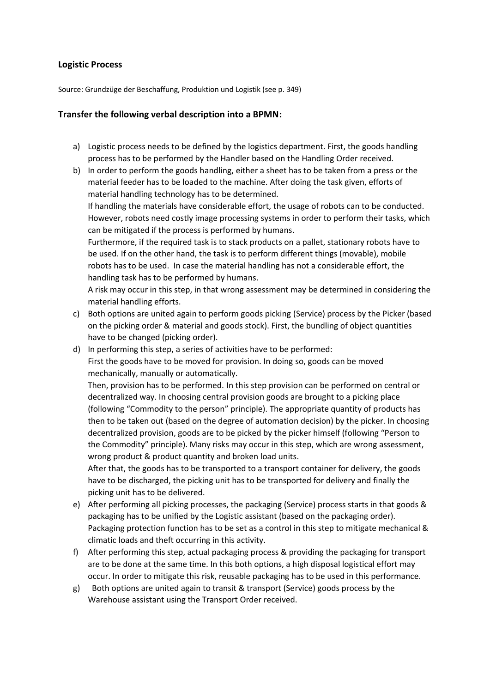## **Logistic Process**

Source: Grundzüge der Beschaffung, Produktion und Logistik (see p. 349)

## **Transfer the following verbal description into a BPMN:**

- a) Logistic process needs to be defined by the logistics department. First, the goods handling process has to be performed by the Handler based on the Handling Order received.
- b) In order to perform the goods handling, either a sheet has to be taken from a press or the material feeder has to be loaded to the machine. After doing the task given, efforts of material handling technology has to be determined.

If handling the materials have considerable effort, the usage of robots can to be conducted. However, robots need costly image processing systems in order to perform their tasks, which can be mitigated if the process is performed by humans.

Furthermore, if the required task is to stack products on a pallet, stationary robots have to be used. If on the other hand, the task is to perform different things (movable), mobile robots has to be used. In case the material handling has not a considerable effort, the handling task has to be performed by humans.

A risk may occur in this step, in that wrong assessment may be determined in considering the material handling efforts.

- c) Both options are united again to perform goods picking (Service) process by the Picker (based on the picking order & material and goods stock). First, the bundling of object quantities have to be changed (picking order).
- d) In performing this step, a series of activities have to be performed: First the goods have to be moved for provision. In doing so, goods can be moved mechanically, manually or automatically.

Then, provision has to be performed. In this step provision can be performed on central or decentralized way. In choosing central provision goods are brought to a picking place (following "Commodity to the person" principle). The appropriate quantity of products has then to be taken out (based on the degree of automation decision) by the picker. In choosing decentralized provision, goods are to be picked by the picker himself (following "Person to the Commodity" principle). Many risks may occur in this step, which are wrong assessment, wrong product & product quantity and broken load units.

After that, the goods has to be transported to a transport container for delivery, the goods have to be discharged, the picking unit has to be transported for delivery and finally the picking unit has to be delivered.

- e) After performing all picking processes, the packaging (Service) process starts in that goods & packaging has to be unified by the Logistic assistant (based on the packaging order). Packaging protection function has to be set as a control in this step to mitigate mechanical & climatic loads and theft occurring in this activity.
- f) After performing this step, actual packaging process & providing the packaging for transport are to be done at the same time. In this both options, a high disposal logistical effort may occur. In order to mitigate this risk, reusable packaging has to be used in this performance.
- g) Both options are united again to transit & transport (Service) goods process by the Warehouse assistant using the Transport Order received.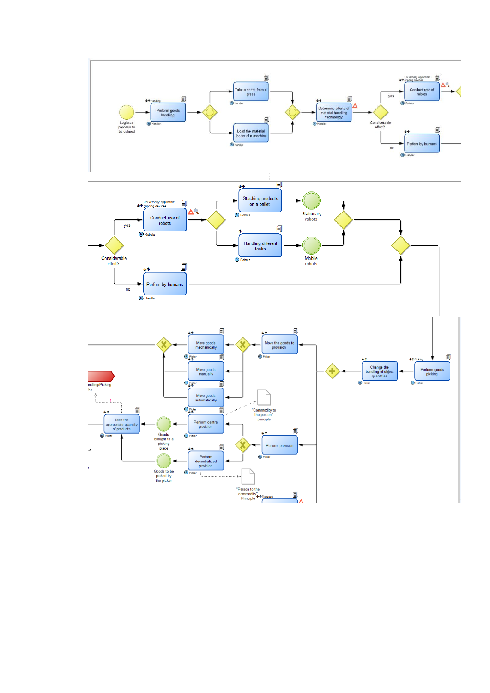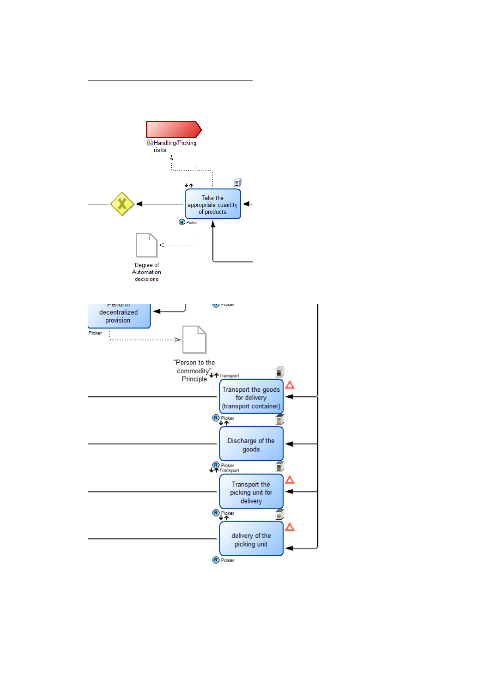